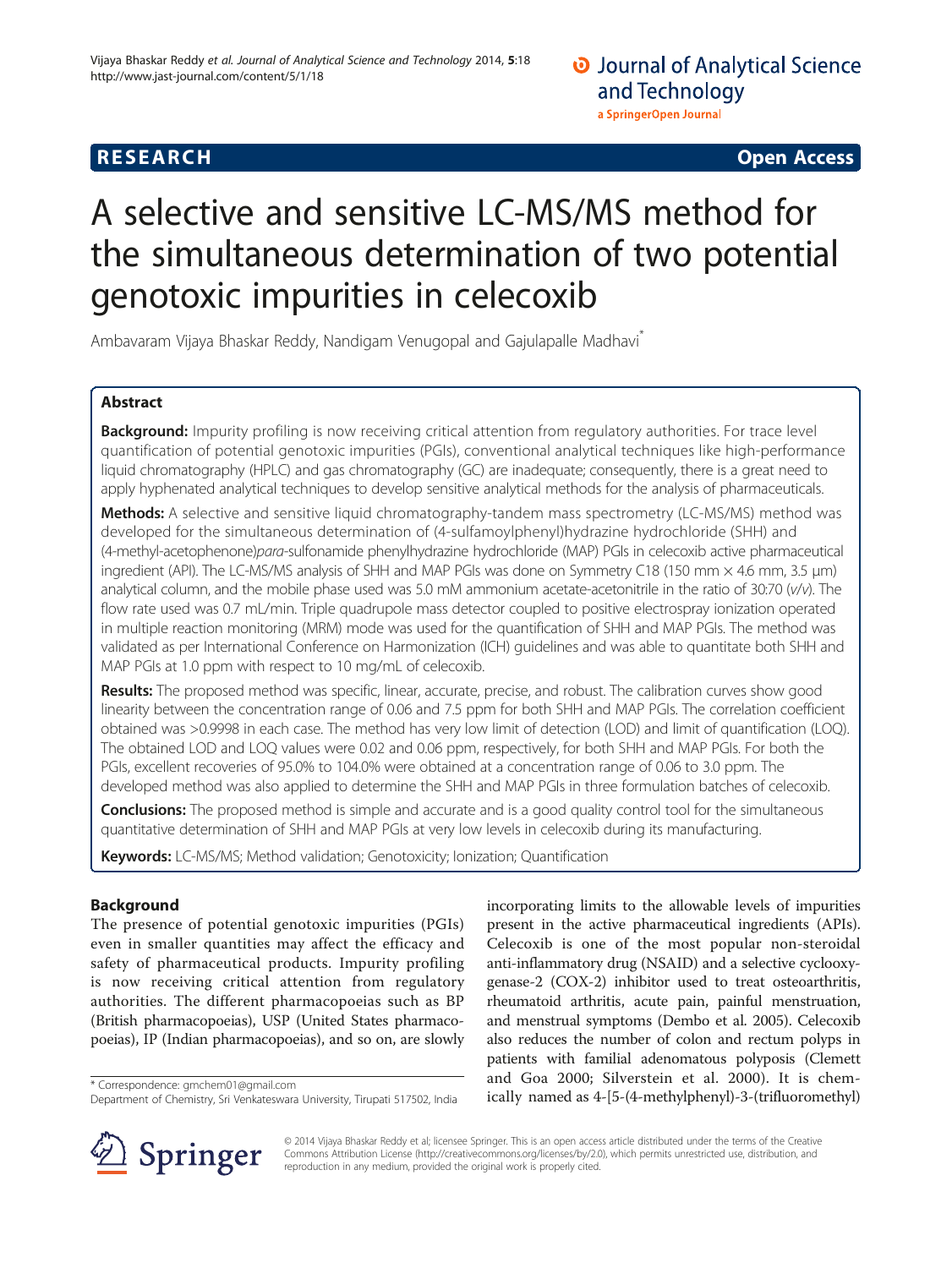# **RESEARCH CHINESE ARCH CHINESE ARCH CHINESE ARCH <b>CHINESE ARCH**

# A selective and sensitive LC-MS/MS method for the simultaneous determination of two potential genotoxic impurities in celecoxib

Ambavaram Vijaya Bhaskar Reddy, Nandigam Venugopal and Gajulapalle Madhavi<sup>®</sup>

# Abstract

Background: Impurity profiling is now receiving critical attention from regulatory authorities. For trace level quantification of potential genotoxic impurities (PGIs), conventional analytical techniques like high-performance liquid chromatography (HPLC) and gas chromatography (GC) are inadequate; consequently, there is a great need to apply hyphenated analytical techniques to develop sensitive analytical methods for the analysis of pharmaceuticals.

Methods: A selective and sensitive liquid chromatography-tandem mass spectrometry (LC-MS/MS) method was developed for the simultaneous determination of (4-sulfamoylphenyl)hydrazine hydrochloride (SHH) and (4-methyl-acetophenone)para-sulfonamide phenylhydrazine hydrochloride (MAP) PGIs in celecoxib active pharmaceutical ingredient (API). The LC-MS/MS analysis of SHH and MAP PGIs was done on Symmetry C18 (150 mm × 4.6 mm, 3.5 μm) analytical column, and the mobile phase used was 5.0 mM ammonium acetate-acetonitrile in the ratio of 30:70 (v/v). The flow rate used was 0.7 mL/min. Triple quadrupole mass detector coupled to positive electrospray ionization operated in multiple reaction monitoring (MRM) mode was used for the quantification of SHH and MAP PGIs. The method was validated as per International Conference on Harmonization (ICH) guidelines and was able to quantitate both SHH and MAP PGIs at 1.0 ppm with respect to 10 mg/mL of celecoxib.

Results: The proposed method was specific, linear, accurate, precise, and robust. The calibration curves show good linearity between the concentration range of 0.06 and 7.5 ppm for both SHH and MAP PGIs. The correlation coefficient obtained was >0.9998 in each case. The method has very low limit of detection (LOD) and limit of quantification (LOQ). The obtained LOD and LOQ values were 0.02 and 0.06 ppm, respectively, for both SHH and MAP PGIs. For both the PGIs, excellent recoveries of 95.0% to 104.0% were obtained at a concentration range of 0.06 to 3.0 ppm. The developed method was also applied to determine the SHH and MAP PGIs in three formulation batches of celecoxib.

Conclusions: The proposed method is simple and accurate and is a good quality control tool for the simultaneous quantitative determination of SHH and MAP PGIs at very low levels in celecoxib during its manufacturing.

Keywords: LC-MS/MS; Method validation; Genotoxicity; Ionization; Quantification

# Background

The presence of potential genotoxic impurities (PGIs) even in smaller quantities may affect the efficacy and safety of pharmaceutical products. Impurity profiling is now receiving critical attention from regulatory authorities. The different pharmacopoeias such as BP (British pharmacopoeias), USP (United States pharmacopoeias), IP (Indian pharmacopoeias), and so on, are slowly

incorporating limits to the allowable levels of impurities present in the active pharmaceutical ingredients (APIs). Celecoxib is one of the most popular non-steroidal anti-inflammatory drug (NSAID) and a selective cyclooxygenase-2 (COX-2) inhibitor used to treat osteoarthritis, rheumatoid arthritis, acute pain, painful menstruation, and menstrual symptoms (Dembo et al. [2005](#page-7-0)). Celecoxib also reduces the number of colon and rectum polyps in patients with familial adenomatous polyposis (Clemett and Goa [2000](#page-7-0); Silverstein et al. [2000\)](#page-7-0). It is chemically named as 4-[5-(4-methylphenyl)-3-(trifluoromethyl) \* Correspondence: [gmchem01@gmail.com](mailto:gmchem01@gmail.com)



© 2014 Vijaya Bhaskar Reddy et al; licensee Springer. This is an open access article distributed under the terms of the Creative Commons Attribution License (http://creativecommons.org/licenses/by/2.0), which permits unrestricted use, distribution, and reproduction in any medium, provided the original work is properly cited.

Department of Chemistry, Sri Venkateswara University, Tirupati 517502, India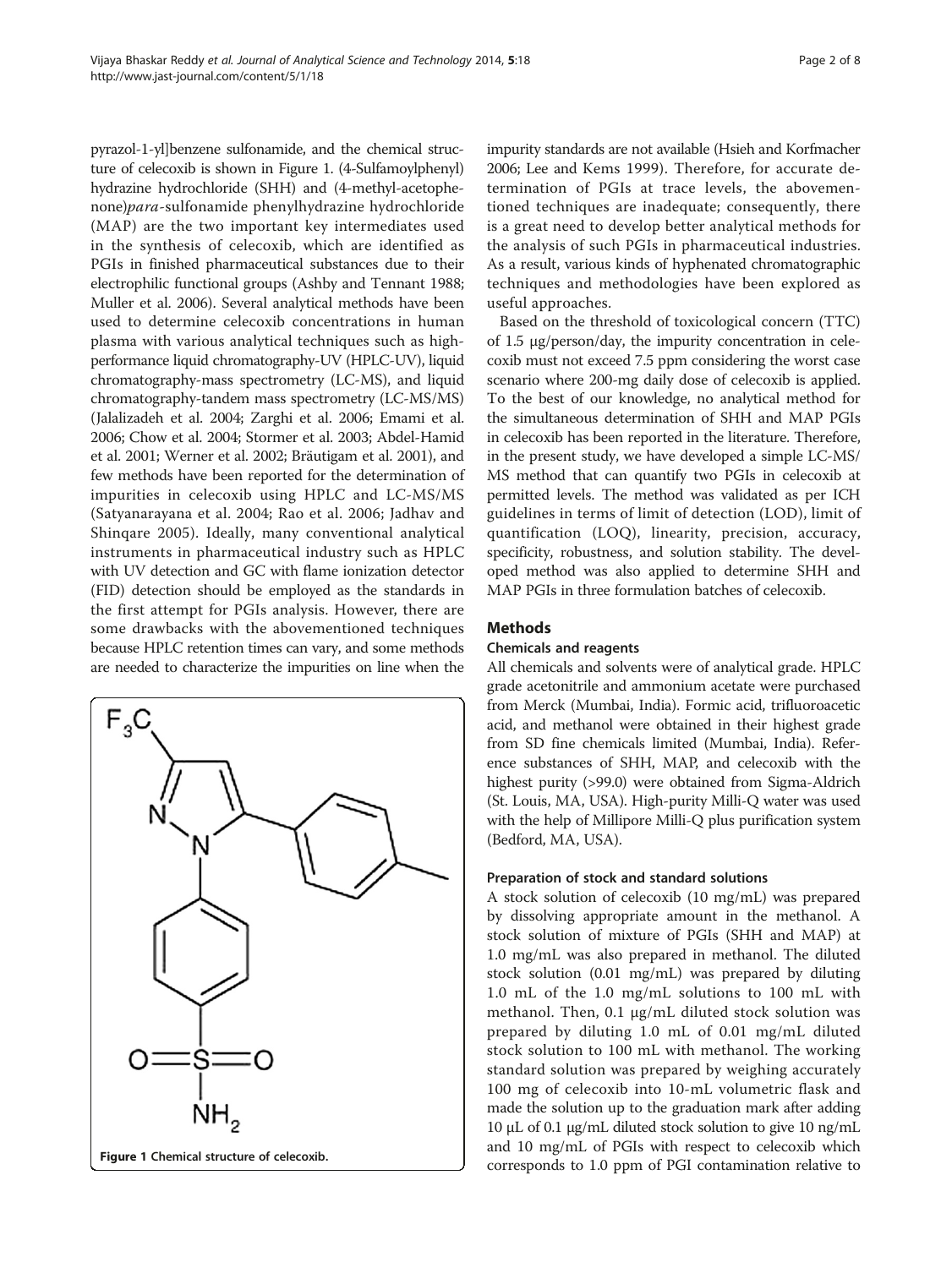pyrazol-1-yl]benzene sulfonamide, and the chemical structure of celecoxib is shown in Figure 1. (4-Sulfamoylphenyl) hydrazine hydrochloride (SHH) and (4-methyl-acetophenone)para-sulfonamide phenylhydrazine hydrochloride (MAP) are the two important key intermediates used in the synthesis of celecoxib, which are identified as PGIs in finished pharmaceutical substances due to their electrophilic functional groups (Ashby and Tennant [1988](#page-7-0); Muller et al. [2006\)](#page-7-0). Several analytical methods have been used to determine celecoxib concentrations in human plasma with various analytical techniques such as highperformance liquid chromatography-UV (HPLC-UV), liquid chromatography-mass spectrometry (LC-MS), and liquid chromatography-tandem mass spectrometry (LC-MS/MS) (Jalalizadeh et al. [2004;](#page-7-0) Zarghi et al. [2006](#page-7-0); Emami et al. [2006;](#page-7-0) Chow et al. [2004;](#page-7-0) Stormer et al. [2003;](#page-7-0) Abdel-Hamid et al. [2001;](#page-7-0) Werner et al. [2002;](#page-7-0) Bräutigam et al. [2001\)](#page-7-0), and few methods have been reported for the determination of impurities in celecoxib using HPLC and LC-MS/MS (Satyanarayana et al. [2004](#page-7-0); Rao et al. [2006](#page-7-0); Jadhav and Shinqare [2005\)](#page-7-0). Ideally, many conventional analytical instruments in pharmaceutical industry such as HPLC with UV detection and GC with flame ionization detector (FID) detection should be employed as the standards in the first attempt for PGIs analysis. However, there are some drawbacks with the abovementioned techniques because HPLC retention times can vary, and some methods are needed to characterize the impurities on line when the



impurity standards are not available (Hsieh and Korfmacher [2006;](#page-7-0) Lee and Kems [1999](#page-7-0)). Therefore, for accurate determination of PGIs at trace levels, the abovementioned techniques are inadequate; consequently, there is a great need to develop better analytical methods for the analysis of such PGIs in pharmaceutical industries. As a result, various kinds of hyphenated chromatographic techniques and methodologies have been explored as useful approaches.

Based on the threshold of toxicological concern (TTC) of 1.5 μg/person/day, the impurity concentration in celecoxib must not exceed 7.5 ppm considering the worst case scenario where 200-mg daily dose of celecoxib is applied. To the best of our knowledge, no analytical method for the simultaneous determination of SHH and MAP PGIs in celecoxib has been reported in the literature. Therefore, in the present study, we have developed a simple LC-MS/ MS method that can quantify two PGIs in celecoxib at permitted levels. The method was validated as per ICH guidelines in terms of limit of detection (LOD), limit of quantification (LOQ), linearity, precision, accuracy, specificity, robustness, and solution stability. The developed method was also applied to determine SHH and MAP PGIs in three formulation batches of celecoxib.

# **Methods**

#### Chemicals and reagents

All chemicals and solvents were of analytical grade. HPLC grade acetonitrile and ammonium acetate were purchased from Merck (Mumbai, India). Formic acid, trifluoroacetic acid, and methanol were obtained in their highest grade from SD fine chemicals limited (Mumbai, India). Reference substances of SHH, MAP, and celecoxib with the highest purity (>99.0) were obtained from Sigma-Aldrich (St. Louis, MA, USA). High-purity Milli-Q water was used with the help of Millipore Milli-Q plus purification system (Bedford, MA, USA).

# Preparation of stock and standard solutions

A stock solution of celecoxib (10 mg/mL) was prepared by dissolving appropriate amount in the methanol. A stock solution of mixture of PGIs (SHH and MAP) at 1.0 mg/mL was also prepared in methanol. The diluted stock solution (0.01 mg/mL) was prepared by diluting 1.0 mL of the 1.0 mg/mL solutions to 100 mL with methanol. Then, 0.1 μg/mL diluted stock solution was prepared by diluting 1.0 mL of 0.01 mg/mL diluted stock solution to 100 mL with methanol. The working standard solution was prepared by weighing accurately 100 mg of celecoxib into 10-mL volumetric flask and made the solution up to the graduation mark after adding 10 μL of 0.1 μg/mL diluted stock solution to give 10 ng/mL and 10 mg/mL of PGIs with respect to celecoxib which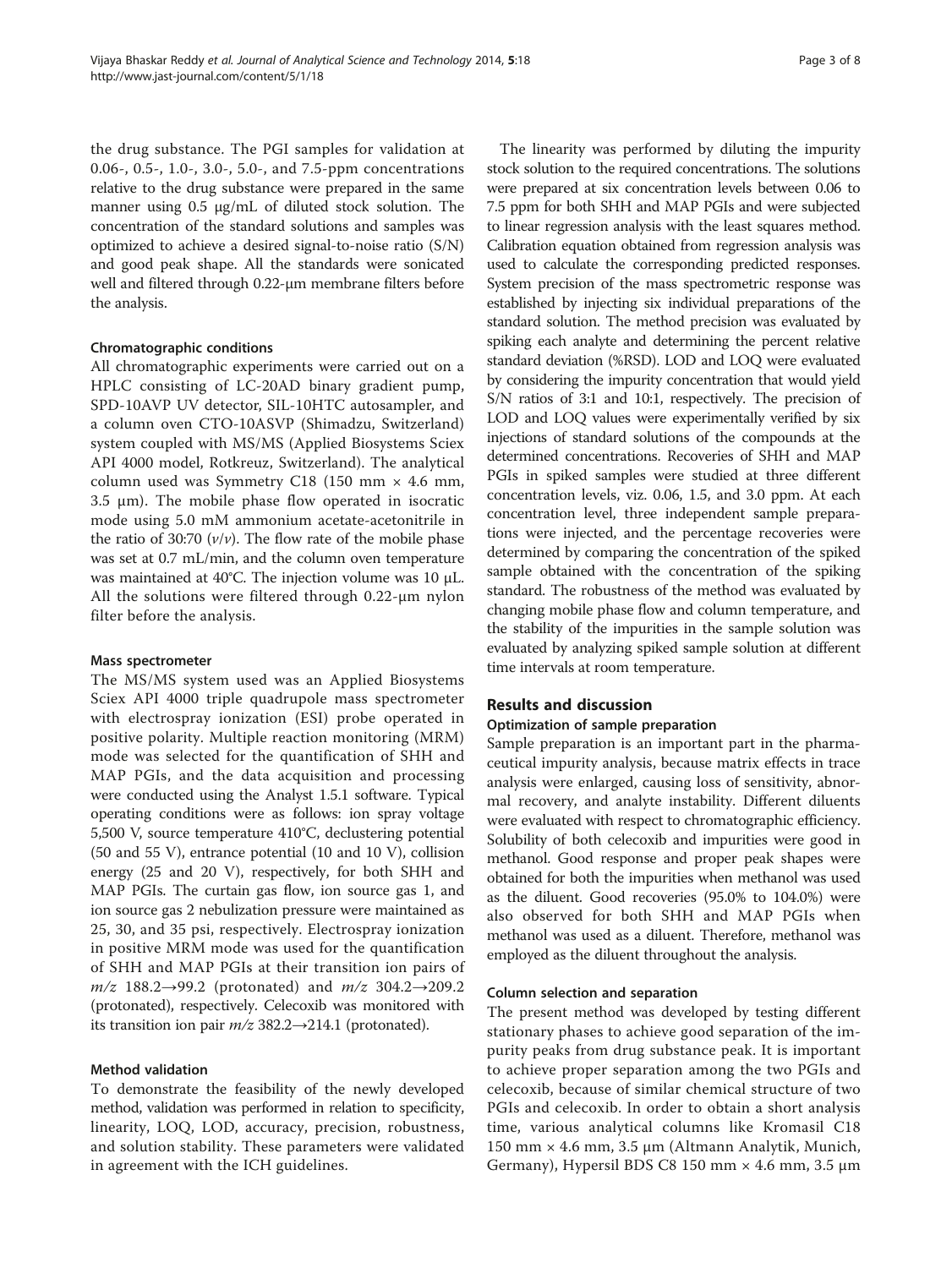the drug substance. The PGI samples for validation at 0.06-, 0.5-, 1.0-, 3.0-, 5.0-, and 7.5-ppm concentrations relative to the drug substance were prepared in the same manner using 0.5 μg/mL of diluted stock solution. The concentration of the standard solutions and samples was optimized to achieve a desired signal-to-noise ratio (S/N) and good peak shape. All the standards were sonicated well and filtered through 0.22-μm membrane filters before the analysis.

#### Chromatographic conditions

All chromatographic experiments were carried out on a HPLC consisting of LC-20AD binary gradient pump, SPD-10AVP UV detector, SIL-10HTC autosampler, and a column oven CTO-10ASVP (Shimadzu, Switzerland) system coupled with MS/MS (Applied Biosystems Sciex API 4000 model, Rotkreuz, Switzerland). The analytical column used was Symmetry C18 (150 mm  $\times$  4.6 mm, 3.5 μm). The mobile phase flow operated in isocratic mode using 5.0 mM ammonium acetate-acetonitrile in the ratio of 30:70  $(v/v)$ . The flow rate of the mobile phase was set at 0.7 mL/min, and the column oven temperature was maintained at 40°C. The injection volume was 10 μL. All the solutions were filtered through 0.22-μm nylon filter before the analysis.

#### Mass spectrometer

The MS/MS system used was an Applied Biosystems Sciex API 4000 triple quadrupole mass spectrometer with electrospray ionization (ESI) probe operated in positive polarity. Multiple reaction monitoring (MRM) mode was selected for the quantification of SHH and MAP PGIs, and the data acquisition and processing were conducted using the Analyst 1.5.1 software. Typical operating conditions were as follows: ion spray voltage 5,500 V, source temperature 410°C, declustering potential (50 and 55 V), entrance potential (10 and 10 V), collision energy (25 and 20 V), respectively, for both SHH and MAP PGIs. The curtain gas flow, ion source gas 1, and ion source gas 2 nebulization pressure were maintained as 25, 30, and 35 psi, respectively. Electrospray ionization in positive MRM mode was used for the quantification of SHH and MAP PGIs at their transition ion pairs of  $m/z$  188.2→99.2 (protonated) and  $m/z$  304.2→209.2 (protonated), respectively. Celecoxib was monitored with its transition ion pair  $m/z$  382.2→214.1 (protonated).

#### Method validation

To demonstrate the feasibility of the newly developed method, validation was performed in relation to specificity, linearity, LOQ, LOD, accuracy, precision, robustness, and solution stability. These parameters were validated in agreement with the ICH guidelines.

The linearity was performed by diluting the impurity stock solution to the required concentrations. The solutions were prepared at six concentration levels between 0.06 to 7.5 ppm for both SHH and MAP PGIs and were subjected to linear regression analysis with the least squares method. Calibration equation obtained from regression analysis was used to calculate the corresponding predicted responses. System precision of the mass spectrometric response was established by injecting six individual preparations of the standard solution. The method precision was evaluated by spiking each analyte and determining the percent relative standard deviation (%RSD). LOD and LOQ were evaluated by considering the impurity concentration that would yield S/N ratios of 3:1 and 10:1, respectively. The precision of LOD and LOQ values were experimentally verified by six injections of standard solutions of the compounds at the determined concentrations. Recoveries of SHH and MAP PGIs in spiked samples were studied at three different concentration levels, viz. 0.06, 1.5, and 3.0 ppm. At each concentration level, three independent sample preparations were injected, and the percentage recoveries were determined by comparing the concentration of the spiked sample obtained with the concentration of the spiking standard. The robustness of the method was evaluated by changing mobile phase flow and column temperature, and the stability of the impurities in the sample solution was evaluated by analyzing spiked sample solution at different time intervals at room temperature.

# Results and discussion

#### Optimization of sample preparation

Sample preparation is an important part in the pharmaceutical impurity analysis, because matrix effects in trace analysis were enlarged, causing loss of sensitivity, abnormal recovery, and analyte instability. Different diluents were evaluated with respect to chromatographic efficiency. Solubility of both celecoxib and impurities were good in methanol. Good response and proper peak shapes were obtained for both the impurities when methanol was used as the diluent. Good recoveries (95.0% to 104.0%) were also observed for both SHH and MAP PGIs when methanol was used as a diluent. Therefore, methanol was employed as the diluent throughout the analysis.

# Column selection and separation

The present method was developed by testing different stationary phases to achieve good separation of the impurity peaks from drug substance peak. It is important to achieve proper separation among the two PGIs and celecoxib, because of similar chemical structure of two PGIs and celecoxib. In order to obtain a short analysis time, various analytical columns like Kromasil C18 150 mm × 4.6 mm, 3.5 μm (Altmann Analytik, Munich, Germany), Hypersil BDS C8 150 mm  $\times$  4.6 mm, 3.5 µm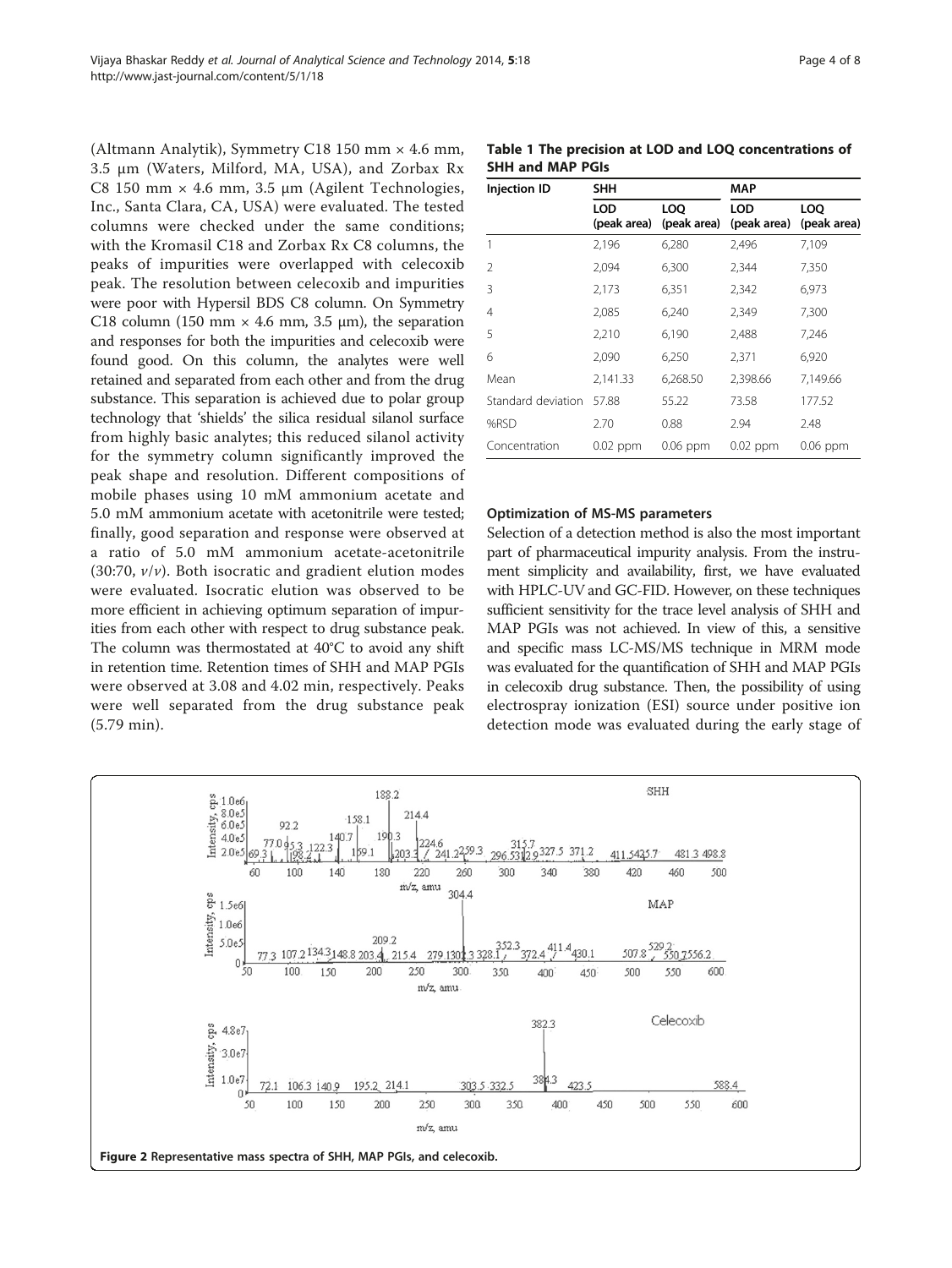<span id="page-3-0"></span>(Altmann Analytik), Symmetry C18 150 mm × 4.6 mm, 3.5 μm (Waters, Milford, MA, USA), and Zorbax Rx C8 150 mm  $\times$  4.6 mm, 3.5 µm (Agilent Technologies, Inc., Santa Clara, CA, USA) were evaluated. The tested columns were checked under the same conditions; with the Kromasil C18 and Zorbax Rx C8 columns, the peaks of impurities were overlapped with celecoxib peak. The resolution between celecoxib and impurities were poor with Hypersil BDS C8 column. On Symmetry C18 column (150 mm  $\times$  4.6 mm, 3.5 µm), the separation and responses for both the impurities and celecoxib were found good. On this column, the analytes were well retained and separated from each other and from the drug substance. This separation is achieved due to polar group technology that 'shields' the silica residual silanol surface from highly basic analytes; this reduced silanol activity for the symmetry column significantly improved the peak shape and resolution. Different compositions of mobile phases using 10 mM ammonium acetate and 5.0 mM ammonium acetate with acetonitrile were tested; finally, good separation and response were observed at a ratio of 5.0 mM ammonium acetate-acetonitrile (30:70,  $v/v$ ). Both isocratic and gradient elution modes were evaluated. Isocratic elution was observed to be more efficient in achieving optimum separation of impurities from each other with respect to drug substance peak. The column was thermostated at 40°C to avoid any shift in retention time. Retention times of SHH and MAP PGIs were observed at 3.08 and 4.02 min, respectively. Peaks were well separated from the drug substance peak (5.79 min).

Table 1 The precision at LOD and LOQ concentrations of SHH and MAP PGIs

| <b>Injection ID</b> | SHH                |                    | MAP                |                    |  |
|---------------------|--------------------|--------------------|--------------------|--------------------|--|
|                     | LOD<br>(peak area) | LOO<br>(peak area) | LOD<br>(peak area) | LOO<br>(peak area) |  |
|                     | 2,196              | 6,280              | 2,496              | 7,109              |  |
| 2                   | 2,094              | 6,300              | 2,344              | 7,350              |  |
| 3                   | 2,173              | 6,351              | 2,342              | 6,973              |  |
| 4                   | 2,085              | 6,240              | 2,349              | 7,300              |  |
| 5                   | 2,210              | 6,190              | 2,488              | 7,246              |  |
| 6                   | 2,090              | 6,250              | 2,371              | 6,920              |  |
| Mean                | 2,141.33           | 6,268.50           | 2,398.66           | 7,149.66           |  |
| Standard deviation  | 57.88              | 55.22              | 73.58              | 177.52             |  |
| %RSD                | 2.70               | 0.88               | 2.94               | 2.48               |  |
| Concentration       | $0.02$ ppm         | $0.06$ ppm         | $0.02$ ppm         | 0.06 ppm           |  |

#### Optimization of MS-MS parameters

Selection of a detection method is also the most important part of pharmaceutical impurity analysis. From the instrument simplicity and availability, first, we have evaluated with HPLC-UV and GC-FID. However, on these techniques sufficient sensitivity for the trace level analysis of SHH and MAP PGIs was not achieved. In view of this, a sensitive and specific mass LC-MS/MS technique in MRM mode was evaluated for the quantification of SHH and MAP PGIs in celecoxib drug substance. Then, the possibility of using electrospray ionization (ESI) source under positive ion detection mode was evaluated during the early stage of

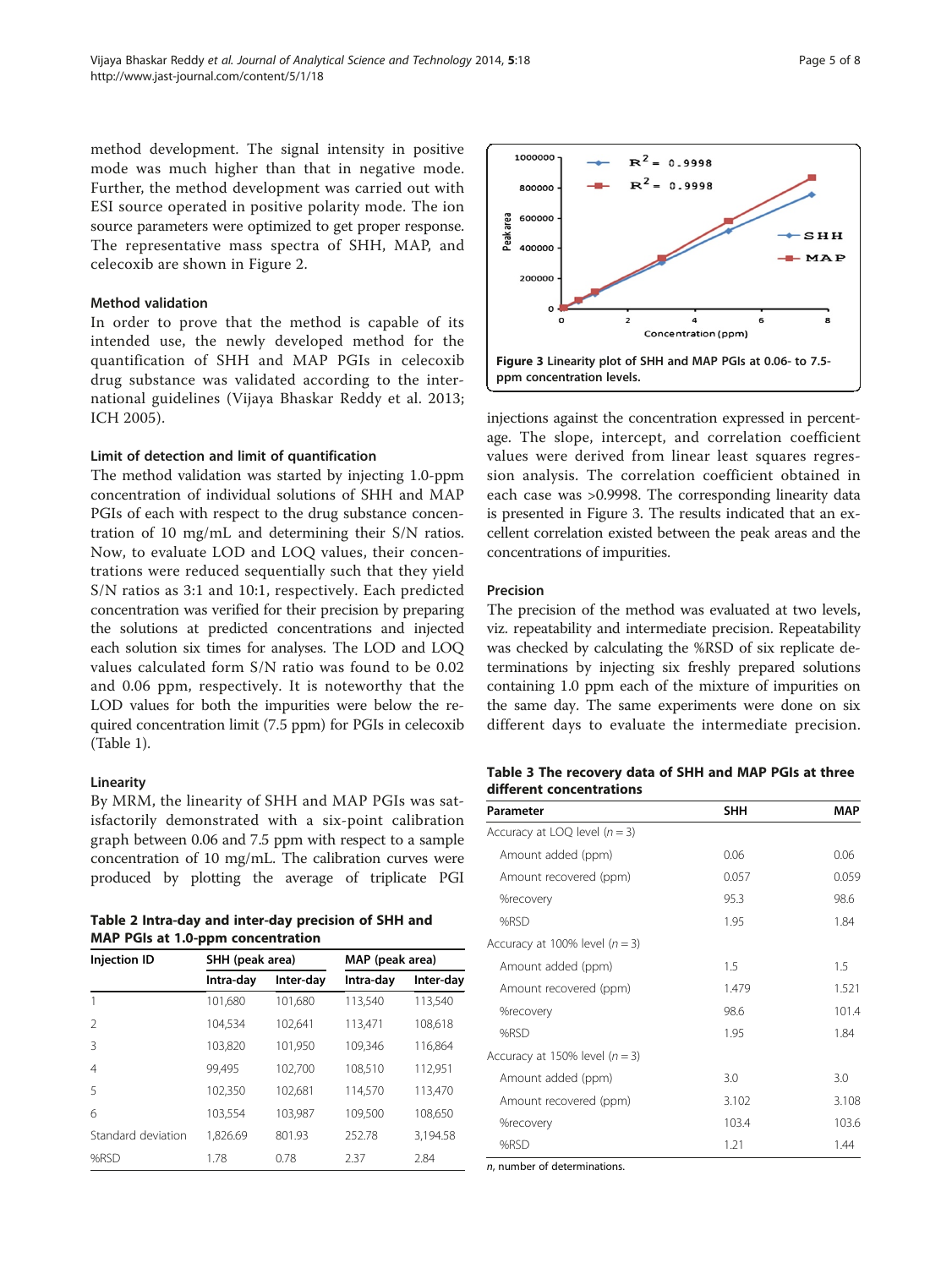<span id="page-4-0"></span>method development. The signal intensity in positive mode was much higher than that in negative mode. Further, the method development was carried out with ESI source operated in positive polarity mode. The ion source parameters were optimized to get proper response. The representative mass spectra of SHH, MAP, and celecoxib are shown in Figure [2](#page-3-0).

#### Method validation

In order to prove that the method is capable of its intended use, the newly developed method for the quantification of SHH and MAP PGIs in celecoxib drug substance was validated according to the international guidelines (Vijaya Bhaskar Reddy et al. [2013](#page-7-0); ICH [2005\)](#page-7-0).

#### Limit of detection and limit of quantification

The method validation was started by injecting 1.0-ppm concentration of individual solutions of SHH and MAP PGIs of each with respect to the drug substance concentration of 10 mg/mL and determining their S/N ratios. Now, to evaluate LOD and LOQ values, their concentrations were reduced sequentially such that they yield S/N ratios as 3:1 and 10:1, respectively. Each predicted concentration was verified for their precision by preparing the solutions at predicted concentrations and injected each solution six times for analyses. The LOD and LOQ values calculated form S/N ratio was found to be 0.02 and 0.06 ppm, respectively. It is noteworthy that the LOD values for both the impurities were below the required concentration limit (7.5 ppm) for PGIs in celecoxib (Table [1](#page-3-0)).

#### Linearity

By MRM, the linearity of SHH and MAP PGIs was satisfactorily demonstrated with a six-point calibration graph between 0.06 and 7.5 ppm with respect to a sample concentration of 10 mg/mL. The calibration curves were produced by plotting the average of triplicate PGI

| Table 2 Intra-day and inter-day precision of SHH and |  |
|------------------------------------------------------|--|
| <b>MAP PGIs at 1.0-ppm concentration</b>             |  |

| <b>Injection ID</b> | SHH (peak area) |           | MAP (peak area) |           |
|---------------------|-----------------|-----------|-----------------|-----------|
|                     | Intra-day       | Inter-day | Intra-day       | Inter-day |
| 1                   | 101.680         | 101.680   | 113,540         | 113,540   |
| $\mathcal{L}$       | 104.534         | 102.641   | 113,471         | 108,618   |
| 3                   | 103,820         | 101.950   | 109.346         | 116.864   |
| 4                   | 99.495          | 102.700   | 108,510         | 112,951   |
| 5                   | 102,350         | 102,681   | 114,570         | 113,470   |
| 6                   | 103.554         | 103.987   | 109,500         | 108,650   |
| Standard deviation  | 1.826.69        | 801.93    | 252.78          | 3,194.58  |
| %RSD                | 1.78            | 0.78      | 2.37            | 2.84      |



injections against the concentration expressed in percentage. The slope, intercept, and correlation coefficient values were derived from linear least squares regression analysis. The correlation coefficient obtained in each case was >0.9998. The corresponding linearity data is presented in Figure 3. The results indicated that an excellent correlation existed between the peak areas and the concentrations of impurities.

#### Precision

The precision of the method was evaluated at two levels, viz. repeatability and intermediate precision. Repeatability was checked by calculating the %RSD of six replicate determinations by injecting six freshly prepared solutions containing 1.0 ppm each of the mixture of impurities on the same day. The same experiments were done on six different days to evaluate the intermediate precision.

# Table 3 The recovery data of SHH and MAP PGIs at three different concentrations

| Parameter                        | <b>SHH</b> | MAP   |
|----------------------------------|------------|-------|
| Accuracy at LOQ level $(n = 3)$  |            |       |
| Amount added (ppm)               | 0.06       | 0.06  |
| Amount recovered (ppm)           | 0.057      | 0.059 |
| %recovery                        | 95.3       | 98.6  |
| %RSD                             | 1.95       | 1.84  |
| Accuracy at 100% level $(n = 3)$ |            |       |
| Amount added (ppm)               | 1.5        | 1.5   |
| Amount recovered (ppm)           | 1.479      | 1.521 |
| %recovery                        | 98.6       | 101.4 |
| %RSD                             | 1.95       | 1.84  |
| Accuracy at 150% level $(n = 3)$ |            |       |
| Amount added (ppm)               | 3.0        | 3.0   |
| Amount recovered (ppm)           | 3.102      | 3.108 |
| %recovery                        | 103.4      | 103.6 |
| %RSD                             | 1.21       | 1.44  |

n, number of determinations.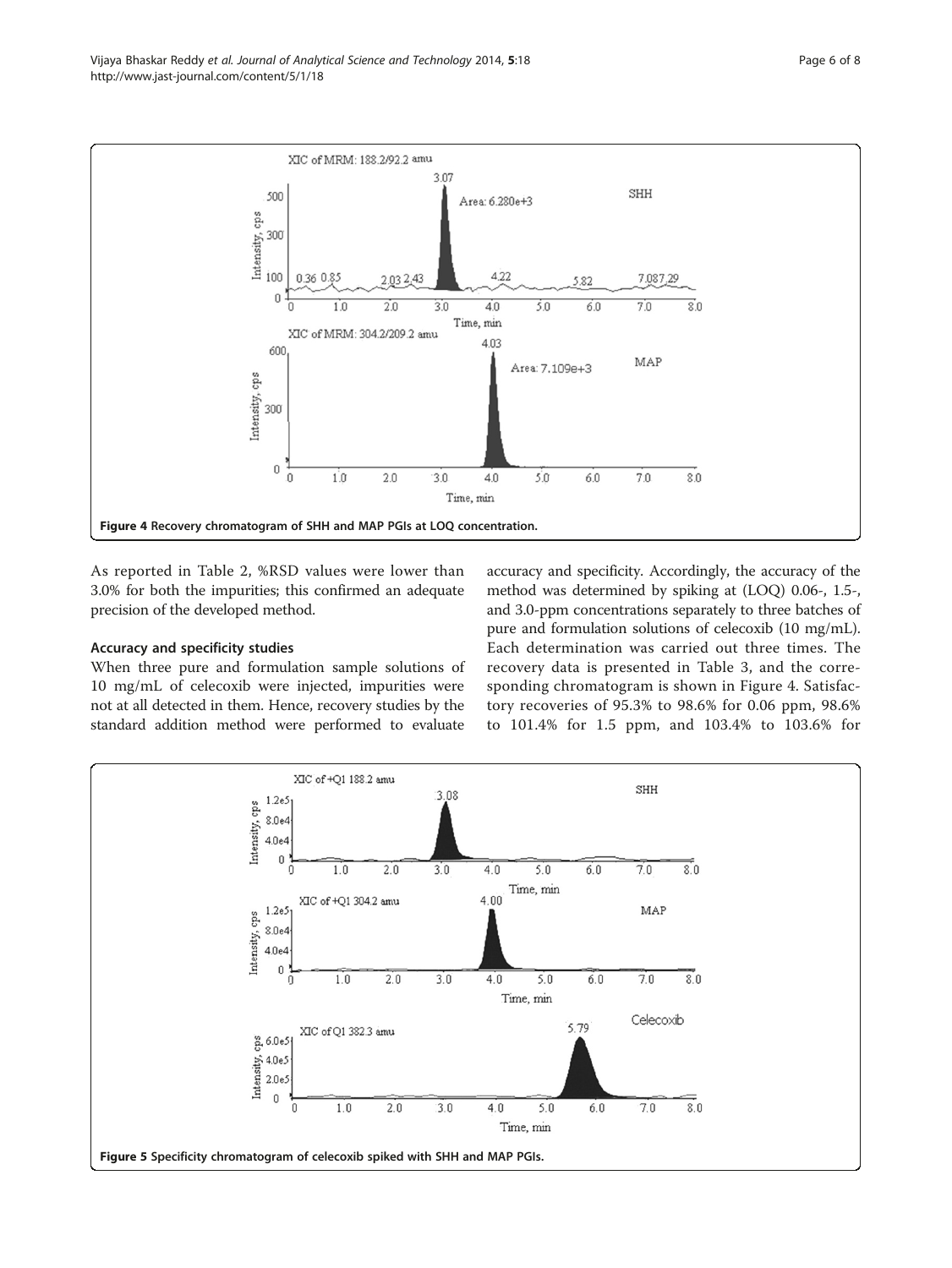<span id="page-5-0"></span>

As reported in Table [2](#page-4-0), %RSD values were lower than 3.0% for both the impurities; this confirmed an adequate precision of the developed method.

# Accuracy and specificity studies

When three pure and formulation sample solutions of 10 mg/mL of celecoxib were injected, impurities were not at all detected in them. Hence, recovery studies by the standard addition method were performed to evaluate accuracy and specificity. Accordingly, the accuracy of the method was determined by spiking at (LOQ) 0.06-, 1.5-, and 3.0-ppm concentrations separately to three batches of pure and formulation solutions of celecoxib (10 mg/mL). Each determination was carried out three times. The recovery data is presented in Table [3,](#page-4-0) and the corresponding chromatogram is shown in Figure 4. Satisfactory recoveries of 95.3% to 98.6% for 0.06 ppm, 98.6% to 101.4% for 1.5 ppm, and 103.4% to 103.6% for

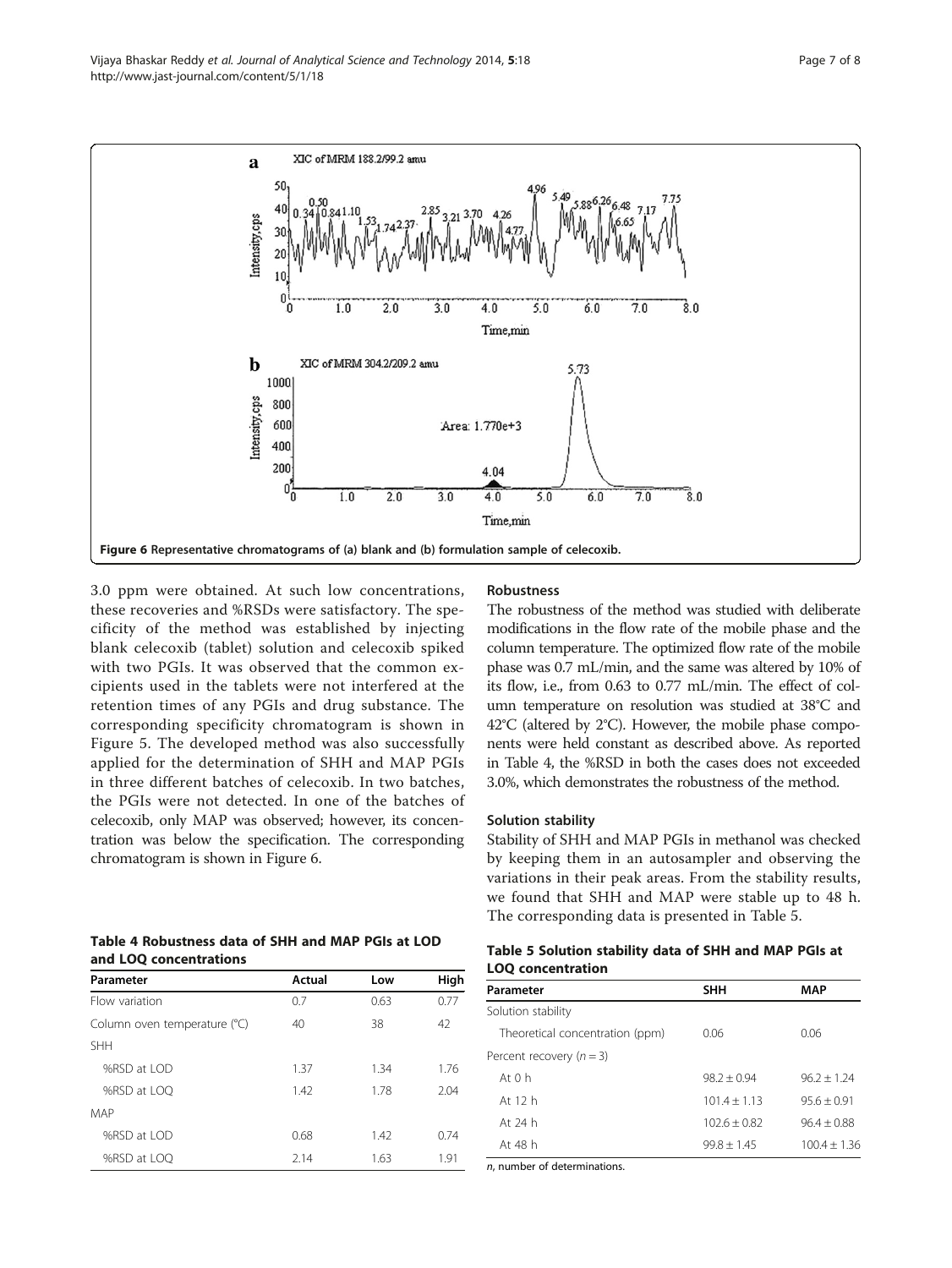

3.0 ppm were obtained. At such low concentrations, these recoveries and %RSDs were satisfactory. The specificity of the method was established by injecting blank celecoxib (tablet) solution and celecoxib spiked with two PGIs. It was observed that the common excipients used in the tablets were not interfered at the retention times of any PGIs and drug substance. The corresponding specificity chromatogram is shown in Figure [5](#page-5-0). The developed method was also successfully applied for the determination of SHH and MAP PGIs in three different batches of celecoxib. In two batches, the PGIs were not detected. In one of the batches of celecoxib, only MAP was observed; however, its concentration was below the specification. The corresponding chromatogram is shown in Figure 6.

| Table 4 Robustness data of SHH and MAP PGIs at LOD |  |  |
|----------------------------------------------------|--|--|
| and LOO concentrations                             |  |  |

| Parameter                    | Actual | Low  | High |
|------------------------------|--------|------|------|
| Flow variation               | 0.7    | 0.63 | 0.77 |
| Column oven temperature (°C) | 40     | 38   | 42   |
| <b>SHH</b>                   |        |      |      |
| %RSD at LOD                  | 1.37   | 1.34 | 1.76 |
| %RSD at LOO                  | 1.42   | 1.78 | 2.04 |
| MAP                          |        |      |      |
| %RSD at LOD                  | 0.68   | 1.42 | 0.74 |
| %RSD at LOO                  | 2.14   | 1.63 | 1.91 |

#### Robustness

The robustness of the method was studied with deliberate modifications in the flow rate of the mobile phase and the column temperature. The optimized flow rate of the mobile phase was 0.7 mL/min, and the same was altered by 10% of its flow, i.e., from 0.63 to 0.77 mL/min. The effect of column temperature on resolution was studied at 38°C and 42°C (altered by 2°C). However, the mobile phase components were held constant as described above. As reported in Table 4, the %RSD in both the cases does not exceeded 3.0%, which demonstrates the robustness of the method.

#### Solution stability

Stability of SHH and MAP PGIs in methanol was checked by keeping them in an autosampler and observing the variations in their peak areas. From the stability results, we found that SHH and MAP were stable up to 48 h. The corresponding data is presented in Table 5.

| Table 5 Solution stability data of SHH and MAP PGIs at |  |  |  |
|--------------------------------------------------------|--|--|--|
| <b>LOQ concentration</b>                               |  |  |  |

| Parameter                       | <b>SHH</b>     | <b>MAP</b>     |  |
|---------------------------------|----------------|----------------|--|
| Solution stability              |                |                |  |
| Theoretical concentration (ppm) | 0.06           | 0.06           |  |
| Percent recovery $(n=3)$        |                |                |  |
| At $0h$                         | $98.2 + 0.94$  | $96.2 + 1.24$  |  |
| At 12 h                         | $101.4 + 1.13$ | $95.6 + 0.91$  |  |
| At 24 h                         | $102.6 + 0.82$ | $96.4 + 0.88$  |  |
| At 48 h                         | $99.8 + 1.45$  | $100.4 + 1.36$ |  |

n, number of determinations.